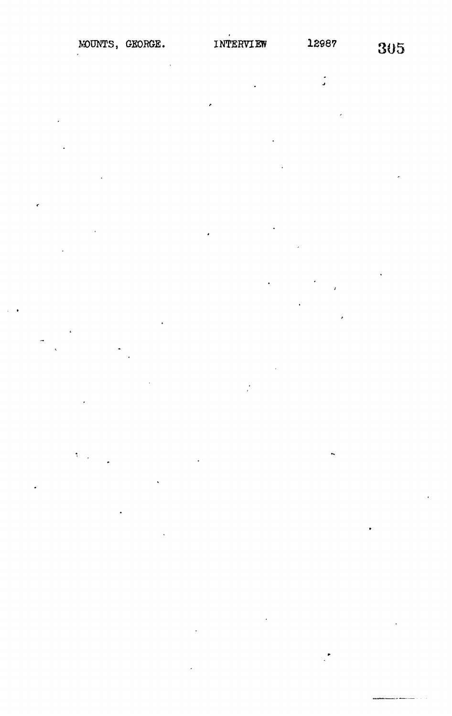ء<br>و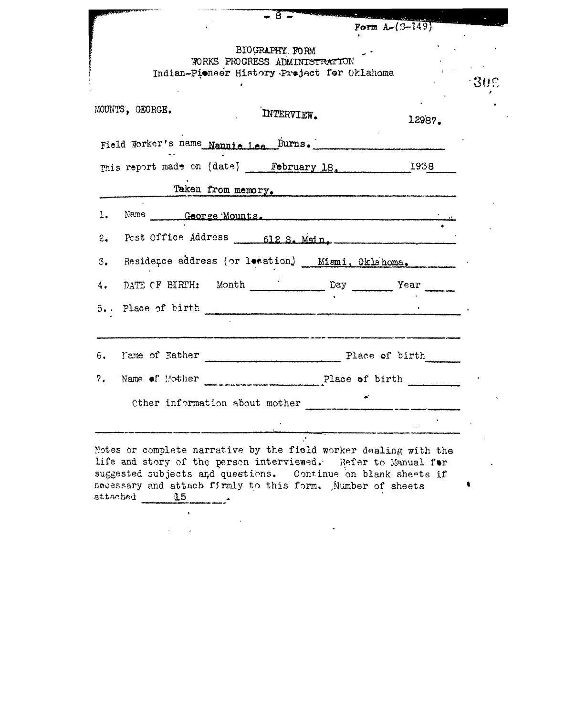|                                                        | $\bullet$ $\overline{B}$ $\bullet$                                                             | Form $A - (5 - 149)$ |       |
|--------------------------------------------------------|------------------------------------------------------------------------------------------------|----------------------|-------|
|                                                        | BIOGRAPHY FORM<br>TORKS PROGRESS ADMINISTRATION<br>Indian-Pieneer History Preject for Oklahoma |                      | - 309 |
| MOUNTS, GEORGE.                                        | INTERVIEW.                                                                                     | 12987.               |       |
|                                                        |                                                                                                |                      |       |
| This report made on (date) February 18. 1938           |                                                                                                |                      |       |
|                                                        | Taken from memory.                                                                             |                      |       |
| Name George Mounts.<br>ı.                              |                                                                                                |                      |       |
| Pest Office Address 612 S. Main,<br>2.4                |                                                                                                |                      |       |
| Residence address (or location) Mismi, Oklahoma.<br>3. |                                                                                                |                      |       |
| DATE CF BIRTH: Month Day Day Year<br>4.                |                                                                                                |                      |       |
|                                                        |                                                                                                |                      |       |
|                                                        |                                                                                                |                      |       |
| 6.                                                     |                                                                                                |                      |       |
| Name of Mother<br>7.                                   | Place of birth                                                                                 |                      |       |
| Other information about mother                         |                                                                                                |                      |       |
|                                                        |                                                                                                |                      |       |

| attached | $15\,$ |
|----------|--------|
|          |        |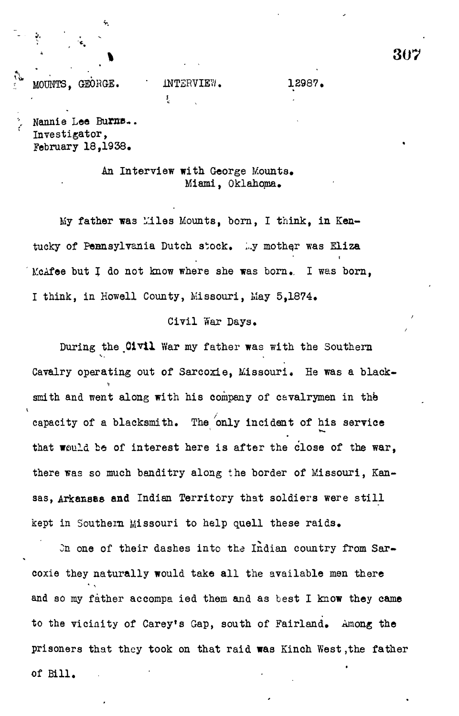MOUNTS, GEORGE. INTERVIEW. 12987.

*I*

**y,**

Nannie Lee Burns.. Investigator, February 18,1938.

**"- i. ' .**

# An Interview with George Mounts. Miami, Oklahoma.

My father wa3 I'lles Mounts, born, I think, in Kentucky of Pennsylvania Dutch stock. l..y mother was Eliza McAfee but I do not know where she was born. I was born, I think, in Howell County, Missouri, May 5,1874.

## Civil War Days.

During the Civil War my father was with the Southern Cavalry operating out of Sarcozie, Missouri. He was a blacksmith and went along with his company of cavalrymen in the capacity of a blacksmith. The only incident of his service that would be of interest here is after the close of the war. there was so much banditry along the border of Missouri, Kansas, Arkansas and Indian Territory that soldiers were still kept in Southern Missouri to help quell these raids.

On one of their dashes into the Indian country from Sarcoxie they naturally would take all the available men there and so my father accompa ied them and as best I know they came to the vicinity of Carey's Gap, south of Fairland. Among the prisoners that they took on that raid was Kinch West,the father of Bill.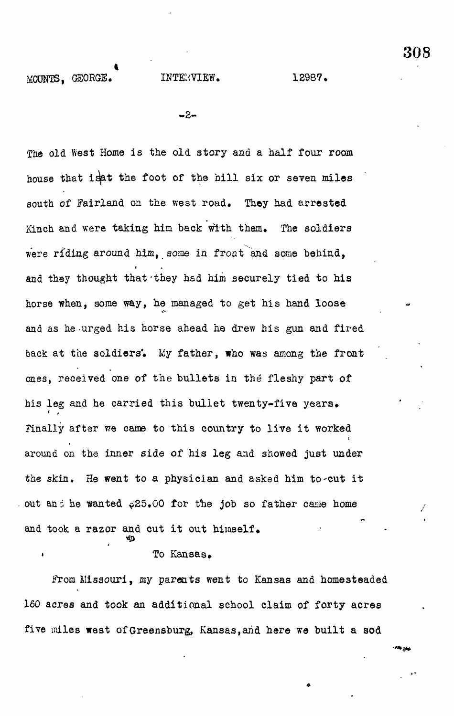$-2-$ 

t MOUNTS, GEORGE. INTERVIEW. 12987.

The old West Home is the old story and a half four room house that isnt the foot of the hill six or seven miles south of Fairland on the west road. They had arrested Kinch and were taking him back with them. The soldiers were riding around him, some in front and some behind, and they thought that'they had him securely tied to his horse when, some way, he managed to get his hand loose and as he urged his horse ahead he drew his gun and fired back at the soldiers'. My father, who was among the front ones, received one of the bullets in the fleshy part of his leg and he carried this bullet twenty-five years. Finally after we came to this country to live it worked around on the inner side of his leg and showed just under the skin. He went to a physician and asked him to-cut it out and he wanted  $\sharp 25.00$  for the job so father came home and took a razor and cut it out himself.

### To Kansas.

from Missouri, my parents went to Kansas and homesteaded 160 acres and took an additional school claim of forty acres five miles west of Greensburg, Kansas,arid here we built a sod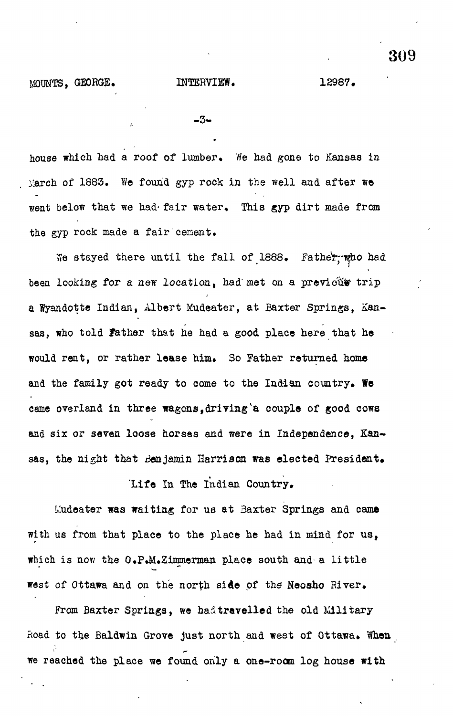**- 3-**

house which had a roof of lumber. We had gone to Kansas in March of  $1883$ . We found gyp rock in the well and after we went below that we had fair water. This gyp dirt made from the gyp rock made a fair' cement.

We stayed there until the fall of 1888. Father who had been looking for a new location, had met on a previous trip a Wyandotte Indian, Albert Mudeater, at Baxter Springs, Kansas, who told Father that he had a good place here that he would rent, or rather lease him. So Father returned home and the family got ready to come to the Indian country. We came overland in three wagons,driving'a couple of good cows and six or seven loose horses and were in Independence, Kansas, the night that Benjamin Harrison was elected President.

# Life In The Indian Country,

**L'udeater was waiting for us at Baxter Springs and came** with us from that place to the place he had in mind for us, which is now the O.P.M.Zimmerman place south and a little west of Ottawa and on the north side of the Neosho River.

From Baxter Springs, we had travelled the old Military Road to the Baldwin Grove just north and west of Ottawa. When we reached the place we found only a one-room log house with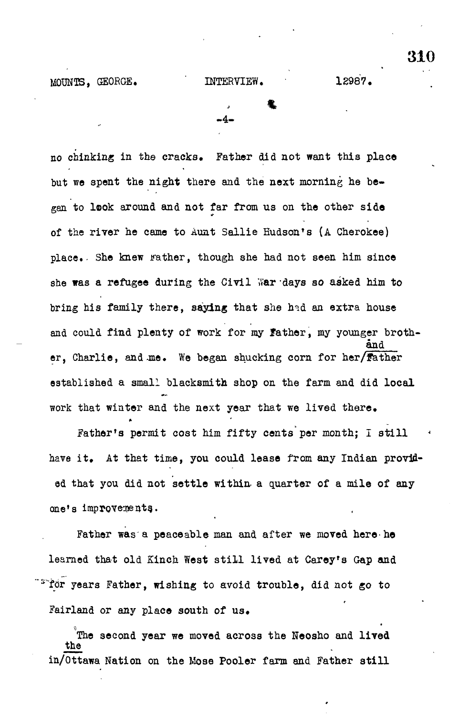**%**

**- 4 -**

no chinking in the cracks. Father did not want this place but we spent the night there and the next morning he began to look around and not far from us on the other side of the river he came to Aunt Sallie Eudson's (A Cherokee) place. She knew father, though she had not seen him since she was a refugee during the Civil War days so asked him to bring his family there, saying that she had an extra house and could find plenty of work for my father, my younger brothand er, Charlie, and me. We began shucking corn for her/father established a small blacksmith shop on the farm and did local work that winter and the next year that we lived there.

Father's permit cost him fifty cents per month; I still have it. At that time, you could lease from any Indian provided that you did not settle within a quarter of a mile of any one's improveroents,.

Father was a peaceable man and after we moved here he learned that old Kinch West still lived at Carey's Gap and Fror years Father, wishing to avoid trouble, did not go to Fairland or any place south of us.

The second year we moved across the Neosho and lived the in/Ottawa Nation on the Mose Pooler farm and Father still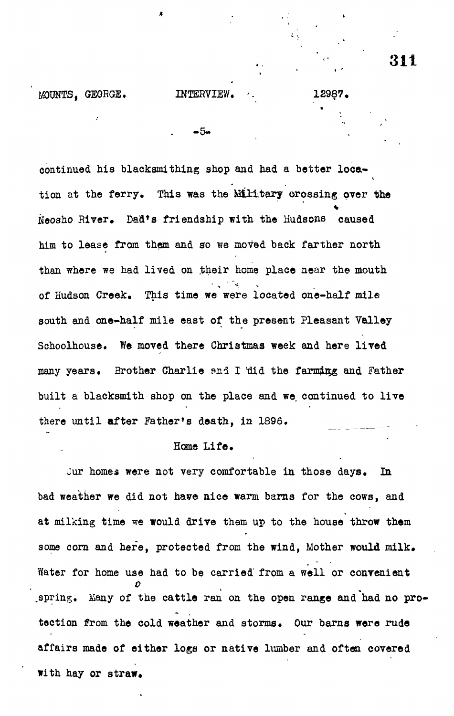MOUNTS. GEORGE. INTERVIEW. . 12987.

 $\bullet$  5  $\bullet$  -  $\bullet$  -  $\bullet$  -  $\bullet$  -  $\bullet$  -  $\bullet$  -  $\bullet$  -  $\bullet$  -  $\bullet$ 

continued his blacksmithing shop and had a better location at the ferry. This was the bilitary crossing over the Neosho River. Dad's friendship with the Hudsons caused him to lease from them and so we moved back farther north than where we had lived on their home place near the mouth of Hudson Creek, This time we were located one-half mile south and one-half mile east of the present Pleasant Valley Schoolhouse. We moved there Christmas week and here lived many years. Brother Charlie and I did the farming and Father built a blacksmith shop on the place and we continued to live there until after Father's death, in 1896.

## Home Life,

Our homes were not very comfortable in those days. In bad weather we did not have nice warm barns for the cows, and at milking time we would drive them up to the house throw them some corn and here, protected from the wind, Mother would milk. Water for home use had to be carried from a well or convenient .spring. Many of the cattle ran on the open range and had no protection from the cold weather and storms. Our barns were rude affairs made of either logs or native lumber and often covered with hay or straw.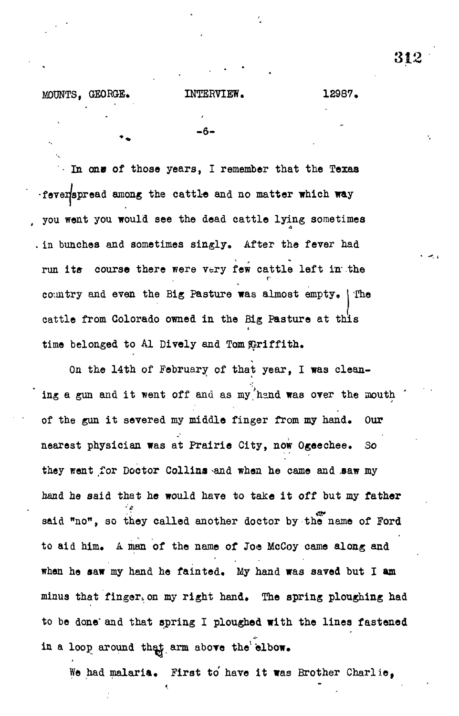**- 6 -**

 $^*$  . The set of the set of the set of the set of the set of the set of the set of the set of the set of the set of the set of the set of the set of the set of the set of the set of the set of the set of the set of the s

**MOUNTS, GEORGE. INTERVIEW. 12987 .**

• In on» of those years, I remember that the Texas •fever/spread among the cattle and no matter which way you went you would see the dead cattle lying sometimes . in bunches and sometimes singly. After the fever had run its course there were very few cattle left in the country and even the Big Pasture was almost empty. **The** cattle from Colorado owned in the Big Pasture at this time belonged to Al Dively and Tom @Griffith.

On the 14th of February of that year, I was cleaning a gun and it went off and as my hand was over the mouth of the gun it severed my middle finger from my hand. Our nearest physician was at Prairie City, now Ogeechee. So they went for Doctor Collins and when he came and saw my hand he said that he would have to take it off but my father said "no", so they called another doctor by the name of Ford to aid him. A man of the name of Joe McCoy came along and when he saw my hand he fainted. My hand was saved but I am minus that finger on my right hand. The spring ploughing had to be done and that spring I ploughed with the lines fastened in a loop around that arm above the elbow.

We had malaria. First to have it was Brother Charlie, We had malaria. First to had malaria. First to have it was Brother Charlie, the state of the state of the state of the state of the state of the state of the state of the state of the state of the state of the state of the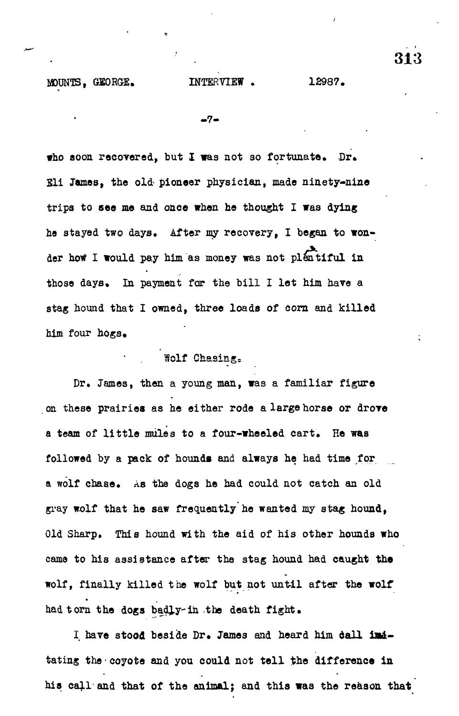who soon recovered, but I was not so fortunate. Dr. **Bli James, the old pioneer physician, made ninety-nine trips to see me and once when he thought I was dying he stayed two days. After my recovery, I began to wonder how I would pay him as money was not plentiful in those days. In payment for the bill I let him have a stag hound that I owned, three loads of corn and killed** him four hogs.

# **Wolf Chasing.**

**Dr, James, then a young man, was a familiar figure on these prairies as he either rode a large horse or drove a team of little mules to a four-wheeled cart. He was followed by a pack of hounds and always he had time for a wolf chase. As the dogs he had could not catch an old gray wolf that he saw frequently he wanted my stag hound, Old Sharp, This hound with the aid of his other hounds who came to his assistance after the stag hound had caught the wolf, finally killed the wolf but not until after the wolf had torn the dogs badj.y-ih .the death fight.**

**I have stood beside Dr, James and heard him dall imitating the • coyote and you could not tell the difference in** his call and that of the animal; and this was the reason that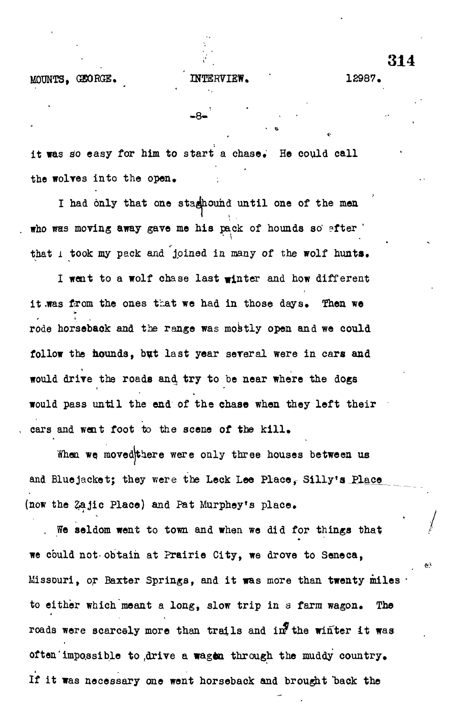it was so easy for him to start a chase. He could call the wolves into the open.

I had only that one staghound until one of the men who was moving away gave me his pack of hounds so efter ' that i took my pack and joined in many of the wolf hunts.

I went to a wolf chase last winter and how different it was from the ones that we had in those days. Then we rode horseback and the range was mostly open and we could follow the hounds, but last year several were in cars and would drive the roads and try to be near where the dogs would pass until the end of the chase when they left their cars and went foot to the scene of the kill.

When we movedthere were only three houses between us and Bluejacket; they were the Leck Lee Place, Silly's Place (now the £ajic Place) and Pat Murphey<sup>f</sup> s place.

, We seldom went to town and when we did for things that we could not obtain at Prairie City, we drove to Seneca, Missouri, or Baxter Springs, and it was more than twenty miles to either which meant a long, slow trip in a farm wagon. The roads were scarcely more than trails and in the winter it was often'impossible to drive a wagen through the muddy country. If it was necessary one went horseback and brought "back the

fo?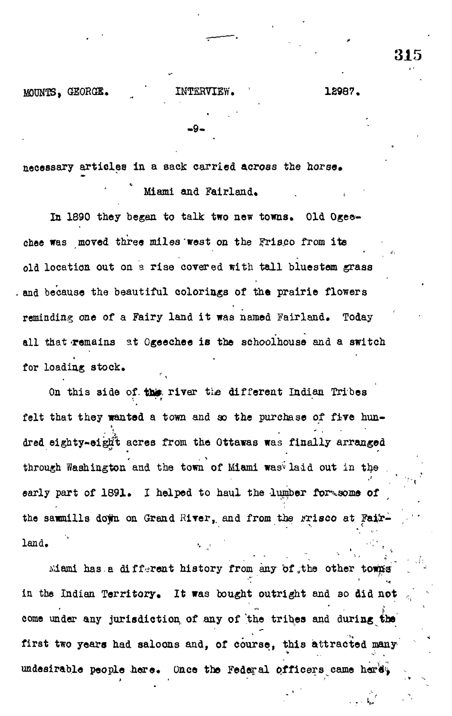MOUNTS, GEORGE. INTERVIEW. ' 12987.

- 9 -

necessary articles in a sack carried across the horse.

Miami and Fairland.

In 1890 they began to talk two new towns. Old Ogeachee was moved three miles west on the Frisco from ite old location out on a rise covered with tall bluestem grass and because the beautiful colorings of the prairie flowers reminding one of a Fairy land it was named Fairland. Today all that remains at Ogeechee is the schoolhouse and a switch for loading stock.

On this side of the river the different Indian Tribes felt that they wanted a town and so the purchase of five huni the set of the set of the set of the set of the set of the set of the set of the set of the set of the set of dred eighty-eight acres from the Ottawas was finally arranged **\*\* \* - '** through Washington and through Washington and the town of  $\mathcal{Y}_\text{max}$ early part of 1891. I helped to haul the lumber for some of early part of 1891. I helped to haul the lumber foxystem in the lumber foxystem in the lumber foxystem in the <br>I helped to haul the lumber foxystem in the lumber foxystem in the lumber foxystem in the lumber foxystem in t the sawmills doitn on Grand River, and from the jwiseo at Fai£v land. i,.

**liami** has a different history from any of the other towns in the Indian Territory. It was bought outright and so did not come under any jurisdiction of any of the tribes and during the  $\frac{1}{2}$ first two years had saloons and, of course, this attracted many undesirable people here. Once the Federal officers came here,

 $\mathcal{L}_\mathcal{A}$  is the people here. Once the people here. Once the people here. Once the people here  $\mathcal{L}_\mathcal{A}$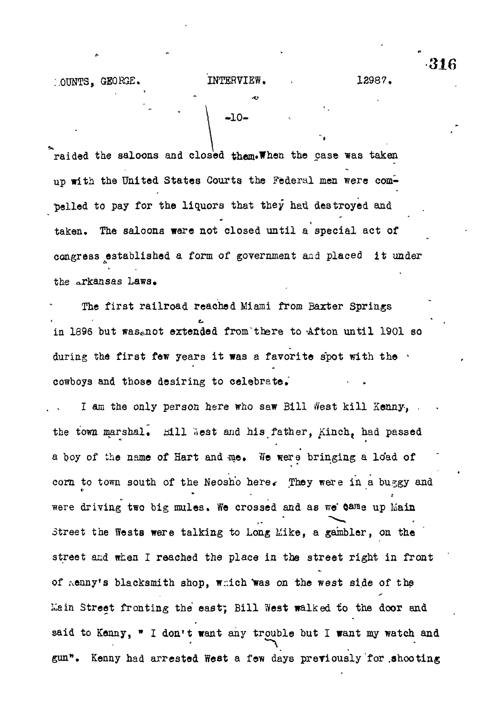$-10-$ 

raided the saloons and closed them. Then the case was taken up with the United States Courts the Federal men were compelled to pay for the liquors that they had destroyed and taken. The saloons were not closed until a special act of congress established a form of government and placed it under the arkansas Laws.

The first railroad reached Miami from Baxter Springs in 1896 but was not extended from there to Afton until 1901 so during the first few years it was a favorite spot with the  $\cdot$ cowboys and those desiring to celebrate.

I am the only person here who saw Bill West kill Kenny, . the town marshal. Eill dest and his father,  $Kinch_t$  had passed a boy of the name of Hart and me. We were bringing a load of corn to town south of the Neosho here. They were in a buggy and **\*** *s* were driving two big mules. We crossed and as we came up Main Street the Wests were talking to Long Mike, a gambler, on the street and when I reached the place in the street right in front of Aenny's blacksmith shop, which was on the west side of the wain street fronting the east; BITT Mest Marked to the door and said to Kenny, " I don't want any trouble but I want my watch and gun\*. Kenny had arrested West a few days previously "for .shooting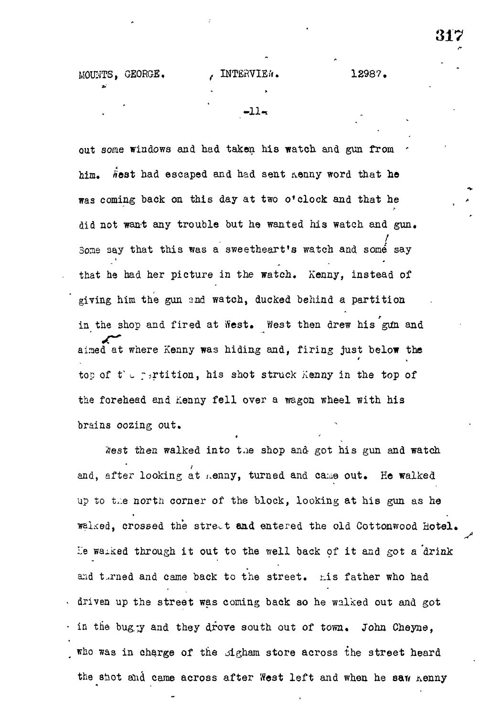**A**

MOUNTS, GEORGE. (*INTERVIE:* 12987.

 $-L1$ 

out some windows and had taken his watch and gun from him. West had escaped and had sent nenny word that he was coming back on this day at two o'clock and that he did not want any trouble but he wanted his watch and gun. Some say that this was a sweetheart's watch and some say that he had her picture in the watch. Kenny, instead of giving him the gun and watch, ducked behind a partition in the shop and fired at West. West then drew his gun and aimed at where Kenny was hiding and, firing just below the top of the partition, his shot struck Kenny in the top of the forehead and Kenny fell over a wagon wheel with his brains oozing out.

 $\ell$ est then walked into the shop and got his gun and watch and, after looking at Kenny, turned and came out. He walked up to the north corner of the block, looking at his gun as he welked, crossed the street and entered the old Cottonwood Hotel. Te walked through it out to the well back of it and got a drink and tirned and came back to the street. ris father who had driven up the street was coming back so he walked out and got in the bug,y and they drove south out of town. John Cheyne, who was in charge of the *sigham* store across the street heard the shot and came across after West left and when he saw kenny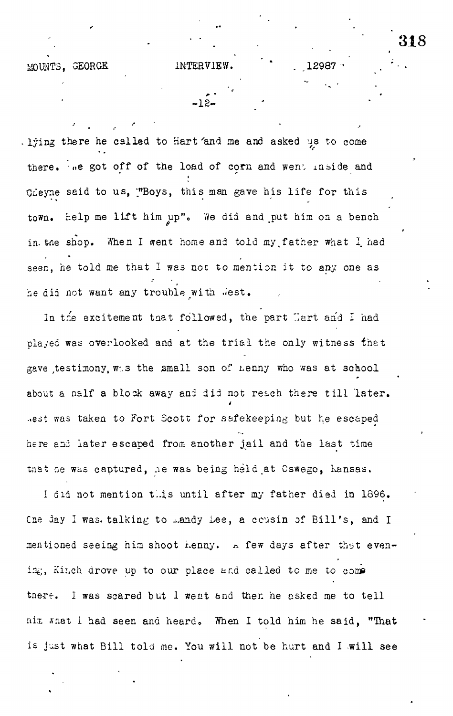# MOUNTS, GEORGE **INTERVIEW.** 1298

 $-12-$ 

. lying there he called to Hart and me and asked us to come there. The got off of the load of corn and went inside and Gheyne said to us, "Boys, this man gave his life for this town. help me lift him up". We did and put him on a bench in. the shop. When I went home and told my father what I had seen, he told me that I was noc to mention it to any one as he did not want any trouble with .est.

In the excitement that followed, the part Hart and I had played was overlooked and at the trial the only witness that gave testimony, wts the small son of henny who was at school about a nalf a block away and did not reach there till later. ..est was taken to Fort Scott for s&fekeeping but he escaped here and later escaped from another jail and the last time that he was captured, he was being held at Cswego, Kansas.

1 did not mention t..is until after my father died in 1696. Cne day I was. talking to .andy Lee, a cousin of Bill's, and I mentioned seeing him shoot henny. A few days after that evening, Kir.ch drove up to our place and called to me to come tnere. I was scared but I went and then he asked me to tell nix what i had seen and heard. When I told him he said, "That is just what Bill told me. You will not be hurt and I will see

 ; - .

i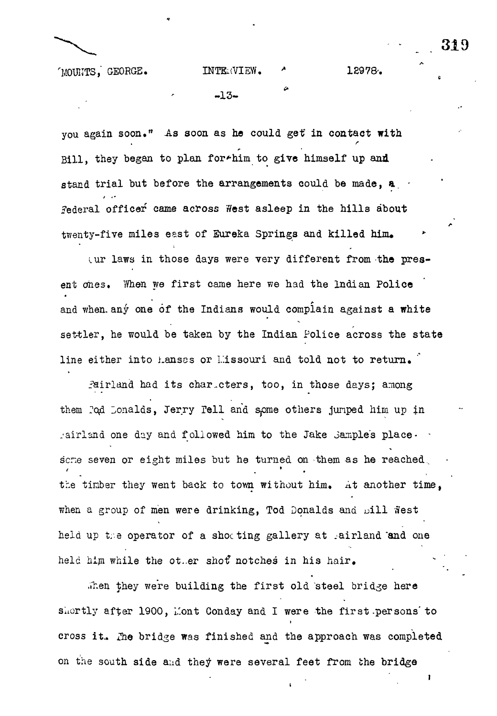-13-

you again soon." As soon as he could get in contact with Bill, they began to plan for him to give himself up and stand trial but before the arrangements could be made,  $a$ . Federal officer came across West asleep in the hills about twenty-five miles east of Eureka Springs and killed him.

tur laws in those days were very different from the present ones. When we first came here we had the Indian Police and when any one of the Indians would complain against a white settler, he would be taken by the Indian Police across the state line either into Lanses or Lissouri and told not to return.

Fairland had its characters, too, in those days; among them Tod Lonalds, Jerry Pell and some others jumped him up in  $_1$ airland one day and followed him to the Jake Jample's place. some seven or eight miles but he turned on them as he reached. the timber they went back to town without him. At another time, when a group of men were drinking, Tod Donalds and pill West held up the operator of a shotting gallery at lairland and one held him while the ot.er shot notches in his hair.

... Then they were building the first old steel bridge here shortly after 1900, Mont Conday and I were the first persons to cross it., Zhe bridge was finished and the approach was completed on the south side and they were several feet from the bridge

.31 9

ı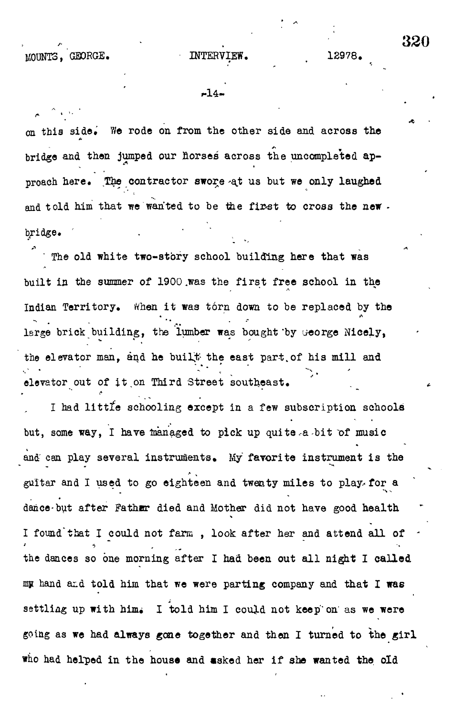### -14-

*on,* this side. We rode on from the other side and across the bridge and then jumped our horses across the uncompleted approach here. The contractor swore at us but we only laughed and told him that we wanted to be the first to cross the new bridge. '

The old white two-story school building here that was built in the summer of 1900 .was the first free school in the Indian Territory. When it was torn down to be replaced by the lsrge brick building, the lumber was bought 'by ueorge Nicely, the elevator man, and he built the east part of his mill and elevator out of it on Third Street southeast.

I had little schooling except in a few subscription schools but, some way, I have managed to pick up quite a bit of music and can play several instruments. My favorite instrument is the guitar and I used to go eighteen and twenty miles to play for a guitar and I used to go eighteen and  $\mathcal{L}_{\mathcal{A}}$  used to play-for and twenty miles to play-for and twenty miles to play-for and twenty miles to play-form dance-but after Father died and Mother did not have good health the dances so one morning after I had been out all night I called the dances so one morning after I had been out all l night I had been out all l night I called  $\alpha$ mji hand and told him that we were parting company and that I was settling up with him, I told him, I told him, I could not keep" on as we were well as we were well as we we we going as we had always gone together and then I turned together and then I turned to the girls  $\mathcal{L}_{\mathcal{A}}$ 

who had helped in the house  $\mathcal{A}$  is she wanted the old  $\mathcal{A}$  she wanted the old her if she wanted the old her if she wanted the old her if she wanted the old her if she wanted the old her if she wanted the old her

 $\sim$  320